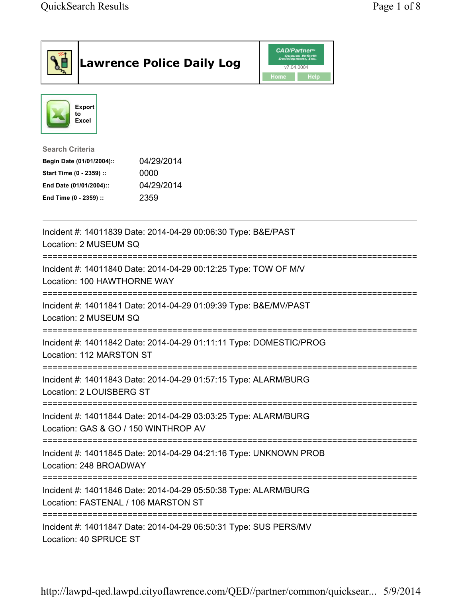|                                                                                                                                      | <b>Lawrence Police Daily Log</b>                                   | <b>CAD/Partner</b> "<br>Queues Enforth<br>Development, Inc.<br>v7.04.0004<br>Home<br>Help |  |
|--------------------------------------------------------------------------------------------------------------------------------------|--------------------------------------------------------------------|-------------------------------------------------------------------------------------------|--|
| <b>Export</b><br>to<br>Excel                                                                                                         |                                                                    |                                                                                           |  |
| <b>Search Criteria</b><br>Begin Date (01/01/2004)::<br>Start Time (0 - 2359) ::<br>End Date (01/01/2004)::<br>End Time (0 - 2359) :: | 04/29/2014<br>0000<br>04/29/2014<br>2359                           |                                                                                           |  |
| Location: 2 MUSEUM SQ                                                                                                                | Incident #: 14011839 Date: 2014-04-29 00:06:30 Type: B&E/PAST      |                                                                                           |  |
| Location: 100 HAWTHORNE WAY                                                                                                          | Incident #: 14011840 Date: 2014-04-29 00:12:25 Type: TOW OF M/V    |                                                                                           |  |
| Location: 2 MUSEUM SQ                                                                                                                | Incident #: 14011841 Date: 2014-04-29 01:09:39 Type: B&E/MV/PAST   |                                                                                           |  |
| Location: 112 MARSTON ST                                                                                                             | Incident #: 14011842 Date: 2014-04-29 01:11:11 Type: DOMESTIC/PROG |                                                                                           |  |
| Location: 2 LOUISBERG ST                                                                                                             | Incident #: 14011843 Date: 2014-04-29 01:57:15 Type: ALARM/BURG    |                                                                                           |  |
| Location: GAS & GO / 150 WINTHROP AV                                                                                                 | Incident #: 14011844 Date: 2014-04-29 03:03:25 Type: ALARM/BURG    |                                                                                           |  |
| Location: 248 BROADWAY                                                                                                               | Incident #: 14011845 Date: 2014-04-29 04:21:16 Type: UNKNOWN PROB  |                                                                                           |  |
| Incident #: 14011846 Date: 2014-04-29 05:50:38 Type: ALARM/BURG<br>Location: FASTENAL / 106 MARSTON ST                               |                                                                    |                                                                                           |  |
| Location: 40 SPRUCE ST                                                                                                               | Incident #: 14011847 Date: 2014-04-29 06:50:31 Type: SUS PERS/MV   |                                                                                           |  |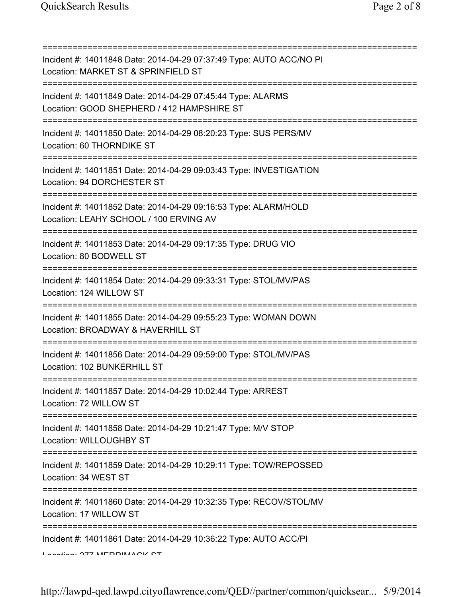=========================================================================== Incident #: 14011848 Date: 2014-04-29 07:37:49 Type: AUTO ACC/NO PI Location: MARKET ST & SPRINFIELD ST =========================================================================== Incident #: 14011849 Date: 2014-04-29 07:45:44 Type: ALARMS Location: GOOD SHEPHERD / 412 HAMPSHIRE ST =========================================================================== Incident #: 14011850 Date: 2014-04-29 08:20:23 Type: SUS PERS/MV Location: 60 THORNDIKE ST =========================================================================== Incident #: 14011851 Date: 2014-04-29 09:03:43 Type: INVESTIGATION Location: 94 DORCHESTER ST =========================================================================== Incident #: 14011852 Date: 2014-04-29 09:16:53 Type: ALARM/HOLD Location: LEAHY SCHOOL / 100 ERVING AV =========================================================================== Incident #: 14011853 Date: 2014-04-29 09:17:35 Type: DRUG VIO Location: 80 BODWELL ST =========================================================================== Incident #: 14011854 Date: 2014-04-29 09:33:31 Type: STOL/MV/PAS Location: 124 WILLOW ST =========================================================================== Incident #: 14011855 Date: 2014-04-29 09:55:23 Type: WOMAN DOWN Location: BROADWAY & HAVERHILL ST =========================================================================== Incident #: 14011856 Date: 2014-04-29 09:59:00 Type: STOL/MV/PAS Location: 102 BUNKERHILL ST =========================================================================== Incident #: 14011857 Date: 2014-04-29 10:02:44 Type: ARREST Location: 72 WILLOW ST =========================================================================== Incident #: 14011858 Date: 2014-04-29 10:21:47 Type: M/V STOP Location: WILLOUGHBY ST =========================================================================== Incident #: 14011859 Date: 2014-04-29 10:29:11 Type: TOW/REPOSSED Location: 34 WEST ST =========================================================================== Incident #: 14011860 Date: 2014-04-29 10:32:35 Type: RECOV/STOL/MV Location: 17 WILLOW ST =========================================================================== Incident #: 14011861 Date: 2014-04-29 10:36:22 Type: AUTO ACC/PI Location: 277 MERRIMACK CT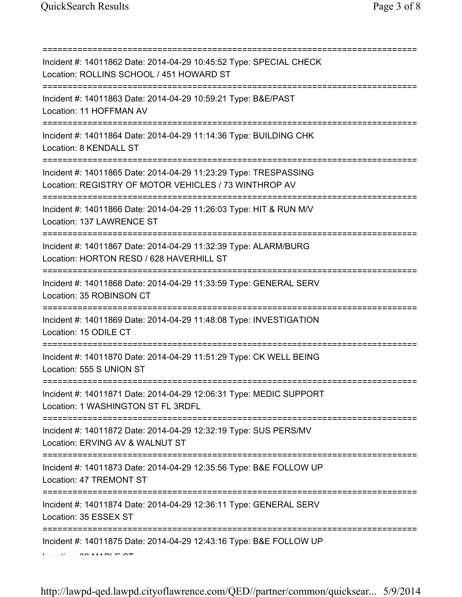| Incident #: 14011862 Date: 2014-04-29 10:45:52 Type: SPECIAL CHECK<br>Location: ROLLINS SCHOOL / 451 HOWARD ST<br>;=============================== |  |  |
|----------------------------------------------------------------------------------------------------------------------------------------------------|--|--|
| Incident #: 14011863 Date: 2014-04-29 10:59:21 Type: B&E/PAST<br>Location: 11 HOFFMAN AV                                                           |  |  |
| Incident #: 14011864 Date: 2014-04-29 11:14:36 Type: BUILDING CHK<br>Location: 8 KENDALL ST                                                        |  |  |
| Incident #: 14011865 Date: 2014-04-29 11:23:29 Type: TRESPASSING<br>Location: REGISTRY OF MOTOR VEHICLES / 73 WINTHROP AV                          |  |  |
| Incident #: 14011866 Date: 2014-04-29 11:26:03 Type: HIT & RUN M/V<br>Location: 137 LAWRENCE ST                                                    |  |  |
| Incident #: 14011867 Date: 2014-04-29 11:32:39 Type: ALARM/BURG<br>Location: HORTON RESD / 628 HAVERHILL ST                                        |  |  |
| Incident #: 14011868 Date: 2014-04-29 11:33:59 Type: GENERAL SERV<br>Location: 35 ROBINSON CT                                                      |  |  |
| Incident #: 14011869 Date: 2014-04-29 11:48:08 Type: INVESTIGATION<br>Location: 15 ODILE CT                                                        |  |  |
| Incident #: 14011870 Date: 2014-04-29 11:51:29 Type: CK WELL BEING<br>Location: 555 S UNION ST                                                     |  |  |
| Incident #: 14011871 Date: 2014-04-29 12:06:31 Type: MEDIC SUPPORT<br>Location: 1 WASHINGTON ST FL 3RDFL                                           |  |  |
| ;===================================<br>Incident #: 14011872 Date: 2014-04-29 12:32:19 Type: SUS PERS/MV<br>Location: ERVING AV & WALNUT ST        |  |  |
| Incident #: 14011873 Date: 2014-04-29 12:35:56 Type: B&E FOLLOW UP<br>Location: 47 TREMONT ST                                                      |  |  |
| Incident #: 14011874 Date: 2014-04-29 12:36:11 Type: GENERAL SERV<br>Location: 35 ESSEX ST                                                         |  |  |
| Incident #: 14011875 Date: 2014-04-29 12:43:16 Type: B&E FOLLOW UP                                                                                 |  |  |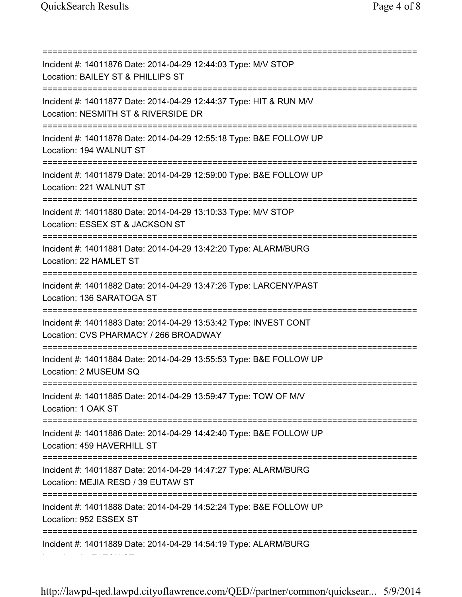=========================================================================== Incident #: 14011876 Date: 2014-04-29 12:44:03 Type: M/V STOP Location: BAILEY ST & PHILLIPS ST =========================================================================== Incident #: 14011877 Date: 2014-04-29 12:44:37 Type: HIT & RUN M/V Location: NESMITH ST & RIVERSIDE DR =========================================================================== Incident #: 14011878 Date: 2014-04-29 12:55:18 Type: B&E FOLLOW UP Location: 194 WALNUT ST =========================================================================== Incident #: 14011879 Date: 2014-04-29 12:59:00 Type: B&E FOLLOW UP Location: 221 WALNUT ST =========================================================================== Incident #: 14011880 Date: 2014-04-29 13:10:33 Type: M/V STOP Location: ESSEX ST & JACKSON ST =========================================================================== Incident #: 14011881 Date: 2014-04-29 13:42:20 Type: ALARM/BURG Location: 22 HAMLET ST =========================================================================== Incident #: 14011882 Date: 2014-04-29 13:47:26 Type: LARCENY/PAST Location: 136 SARATOGA ST =========================================================================== Incident #: 14011883 Date: 2014-04-29 13:53:42 Type: INVEST CONT Location: CVS PHARMACY / 266 BROADWAY =========================================================================== Incident #: 14011884 Date: 2014-04-29 13:55:53 Type: B&E FOLLOW UP Location: 2 MUSEUM SQ =========================================================================== Incident #: 14011885 Date: 2014-04-29 13:59:47 Type: TOW OF M/V Location: 1 OAK ST =========================================================================== Incident #: 14011886 Date: 2014-04-29 14:42:40 Type: B&E FOLLOW UP Location: 459 HAVERHILL ST =========================================================================== Incident #: 14011887 Date: 2014-04-29 14:47:27 Type: ALARM/BURG Location: MEJIA RESD / 39 EUTAW ST =========================================================================== Incident #: 14011888 Date: 2014-04-29 14:52:24 Type: B&E FOLLOW UP Location: 952 ESSEX ST =========================================================================== Incident #: 14011889 Date: 2014-04-29 14:54:19 Type: ALARM/BURG Location: 37 EATON ST

http://lawpd-qed.lawpd.cityoflawrence.com/QED//partner/common/quicksear... 5/9/2014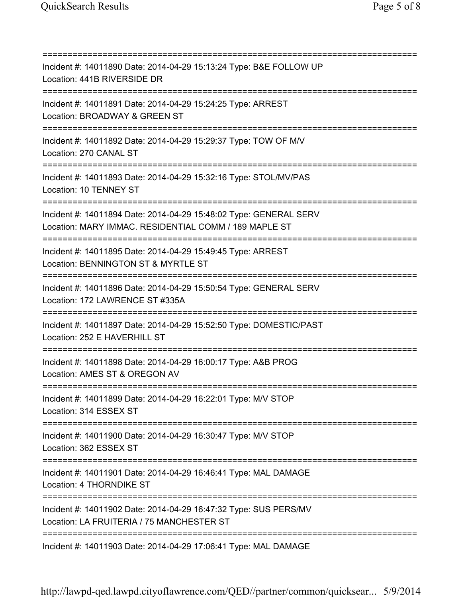=========================================================================== Incident #: 14011890 Date: 2014-04-29 15:13:24 Type: B&E FOLLOW UP Location: 441B RIVERSIDE DR =========================================================================== Incident #: 14011891 Date: 2014-04-29 15:24:25 Type: ARREST Location: BROADWAY & GREEN ST =========================================================================== Incident #: 14011892 Date: 2014-04-29 15:29:37 Type: TOW OF M/V Location: 270 CANAL ST =========================================================================== Incident #: 14011893 Date: 2014-04-29 15:32:16 Type: STOL/MV/PAS Location: 10 TENNEY ST =========================================================================== Incident #: 14011894 Date: 2014-04-29 15:48:02 Type: GENERAL SERV Location: MARY IMMAC. RESIDENTIAL COMM / 189 MAPLE ST =========================================================================== Incident #: 14011895 Date: 2014-04-29 15:49:45 Type: ARREST Location: BENNINGTON ST & MYRTLE ST =========================================================================== Incident #: 14011896 Date: 2014-04-29 15:50:54 Type: GENERAL SERV Location: 172 LAWRENCE ST #335A =========================================================================== Incident #: 14011897 Date: 2014-04-29 15:52:50 Type: DOMESTIC/PAST Location: 252 E HAVERHILL ST =========================================================================== Incident #: 14011898 Date: 2014-04-29 16:00:17 Type: A&B PROG Location: AMES ST & OREGON AV =========================================================================== Incident #: 14011899 Date: 2014-04-29 16:22:01 Type: M/V STOP Location: 314 ESSEX ST =========================================================================== Incident #: 14011900 Date: 2014-04-29 16:30:47 Type: M/V STOP Location: 362 ESSEX ST =========================================================================== Incident #: 14011901 Date: 2014-04-29 16:46:41 Type: MAL DAMAGE Location: 4 THORNDIKE ST =========================================================================== Incident #: 14011902 Date: 2014-04-29 16:47:32 Type: SUS PERS/MV Location: LA FRUITERIA / 75 MANCHESTER ST =========================================================================== Incident #: 14011903 Date: 2014-04-29 17:06:41 Type: MAL DAMAGE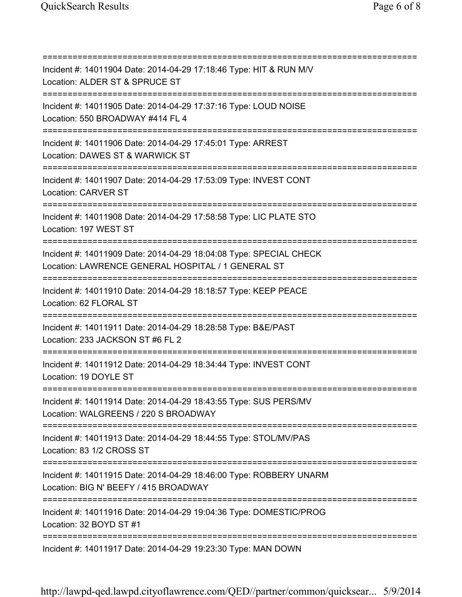=========================================================================== Incident #: 14011904 Date: 2014-04-29 17:18:46 Type: HIT & RUN M/V Location: ALDER ST & SPRUCE ST =========================================================================== Incident #: 14011905 Date: 2014-04-29 17:37:16 Type: LOUD NOISE Location: 550 BROADWAY #414 FL 4 =========================================================================== Incident #: 14011906 Date: 2014-04-29 17:45:01 Type: ARREST Location: DAWES ST & WARWICK ST =========================================================================== Incident #: 14011907 Date: 2014-04-29 17:53:09 Type: INVEST CONT Location: CARVER ST =========================================================================== Incident #: 14011908 Date: 2014-04-29 17:58:58 Type: LIC PLATE STO Location: 197 WEST ST =========================================================================== Incident #: 14011909 Date: 2014-04-29 18:04:08 Type: SPECIAL CHECK Location: LAWRENCE GENERAL HOSPITAL / 1 GENERAL ST =========================================================================== Incident #: 14011910 Date: 2014-04-29 18:18:57 Type: KEEP PEACE Location: 62 FLORAL ST =========================================================================== Incident #: 14011911 Date: 2014-04-29 18:28:58 Type: B&E/PAST Location: 233 JACKSON ST #6 FL 2 =========================================================================== Incident #: 14011912 Date: 2014-04-29 18:34:44 Type: INVEST CONT Location: 19 DOYLE ST =========================================================================== Incident #: 14011914 Date: 2014-04-29 18:43:55 Type: SUS PERS/MV Location: WALGREENS / 220 S BROADWAY =========================================================================== Incident #: 14011913 Date: 2014-04-29 18:44:55 Type: STOL/MV/PAS Location: 83 1/2 CROSS ST =========================================================================== Incident #: 14011915 Date: 2014-04-29 18:46:00 Type: ROBBERY UNARM Location: BIG N' BEEFY / 415 BROADWAY =========================================================================== Incident #: 14011916 Date: 2014-04-29 19:04:36 Type: DOMESTIC/PROG Location: 32 BOYD ST #1 =========================================================================== Incident #: 14011917 Date: 2014-04-29 19:23:30 Type: MAN DOWN

http://lawpd-qed.lawpd.cityoflawrence.com/QED//partner/common/quicksear... 5/9/2014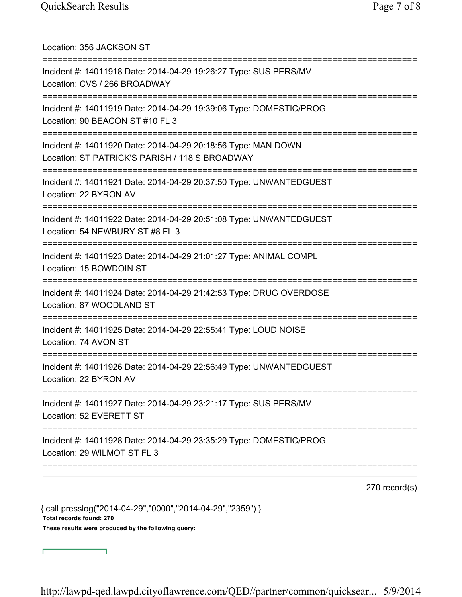| Location: 356 JACKSON ST                                                                                                      |
|-------------------------------------------------------------------------------------------------------------------------------|
| Incident #: 14011918 Date: 2014-04-29 19:26:27 Type: SUS PERS/MV<br>Location: CVS / 266 BROADWAY<br>========================= |
| Incident #: 14011919 Date: 2014-04-29 19:39:06 Type: DOMESTIC/PROG<br>Location: 90 BEACON ST #10 FL 3                         |
| Incident #: 14011920 Date: 2014-04-29 20:18:56 Type: MAN DOWN<br>Location: ST PATRICK'S PARISH / 118 S BROADWAY               |
| Incident #: 14011921 Date: 2014-04-29 20:37:50 Type: UNWANTEDGUEST<br>Location: 22 BYRON AV                                   |
| Incident #: 14011922 Date: 2014-04-29 20:51:08 Type: UNWANTEDGUEST<br>Location: 54 NEWBURY ST #8 FL 3                         |
| Incident #: 14011923 Date: 2014-04-29 21:01:27 Type: ANIMAL COMPL<br>Location: 15 BOWDOIN ST<br>======================        |
| Incident #: 14011924 Date: 2014-04-29 21:42:53 Type: DRUG OVERDOSE<br>Location: 87 WOODLAND ST                                |
| Incident #: 14011925 Date: 2014-04-29 22:55:41 Type: LOUD NOISE<br>Location: 74 AVON ST                                       |
| Incident #: 14011926 Date: 2014-04-29 22:56:49 Type: UNWANTEDGUEST<br>Location: 22 BYRON AV                                   |
| Incident #: 14011927 Date: 2014-04-29 23:21:17 Type: SUS PERS/MV<br>Location: 52 EVERETT ST                                   |
| Incident #: 14011928 Date: 2014-04-29 23:35:29 Type: DOMESTIC/PROG<br>Location: 29 WILMOT ST FL 3                             |
|                                                                                                                               |

270 record(s)

{ call presslog("2014-04-29","0000","2014-04-29","2359") } Total records found: 270 These results were produced by the following query:

┑

Г

http://lawpd-qed.lawpd.cityoflawrence.com/QED//partner/common/quicksear... 5/9/2014